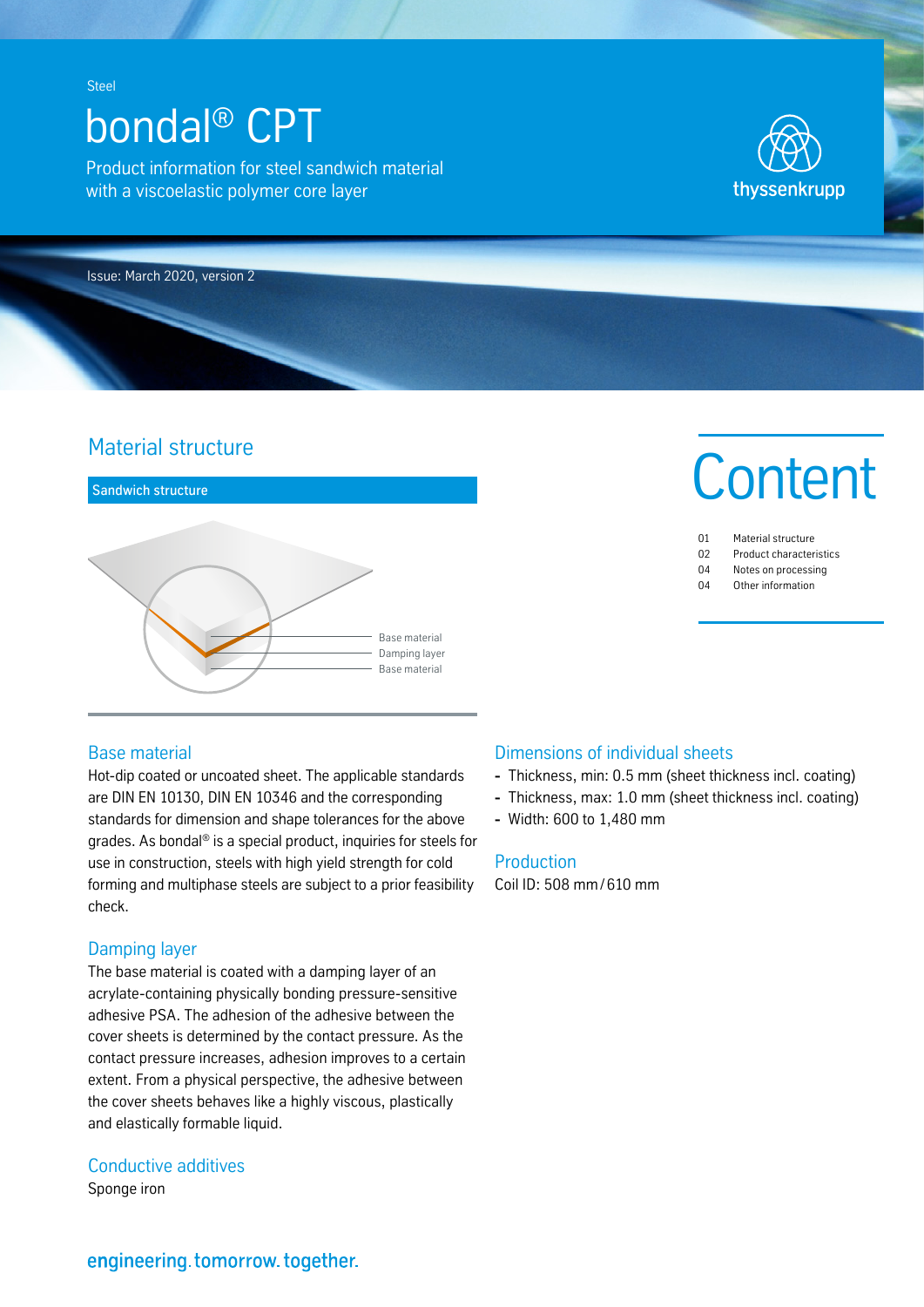# bondal® CPT

Product information for steel sandwich material with a viscoelastic polymer core layer



Issue: March 2020, version 2

# Material structure



#### Base material

Hot-dip coated or uncoated sheet. The applicable standards are DIN EN 10130, DIN EN 10346 and the corresponding standards for dimension and shape tolerances for the above grades. As bondal® is a special product, inquiries for steels for use in construction, steels with high yield strength for cold forming and multiphase steels are subject to a prior feasibility check.

# Damping layer

The base material is coated with a damping layer of an acrylate-containing physically bonding pressure-sensitive adhesive PSA. The adhesion of the adhesive between the cover sheets is determined by the contact pressure. As the contact pressure increases, adhesion improves to a certain extent. From a physical perspective, the adhesive between the cover sheets behaves like a highly viscous, plastically and elastically formable liquid.

# Conductive additives

Sponge iron

# **Content**

- 01 Material structure 02 Product characteristics
- 04 Notes on processing
- 04 Other information

# Dimensions of individual sheets

- **-** Thickness, min: 0.5 mm (sheet thickness incl. coating)
- **-** Thickness, max: 1.0 mm (sheet thickness incl. coating)
- **-** Width: 600 to 1,480 mm

#### **Production**

Coil ID: 508 mm/ 610 mm

# engineering.tomorrow.together.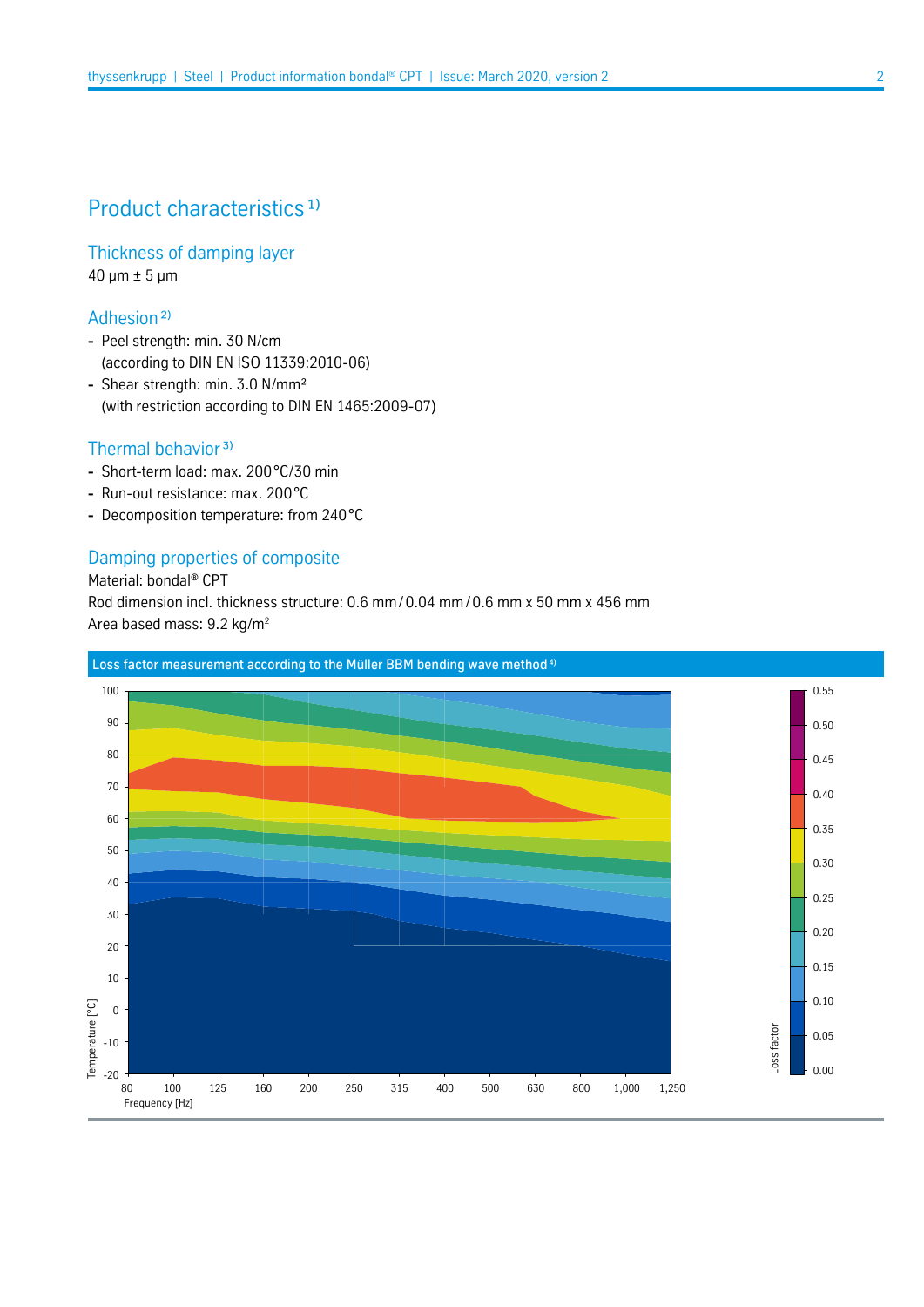# Product characteristics<sup>1)</sup>

Thickness of damping layer  $40 \mu m \pm 5 \mu m$ 

Adhesion ²)

- **-** Peel strength: min. 30 N/cm (according to DIN EN ISO 11339:2010-06)
- **-** Shear strength: min. 3.0 N/mm² (with restriction according to DIN EN 1465:2009-07)

### Thermal behavior<sup>3)</sup>

- **-** Short-term load: max. 200°C/30 min
- **-** Run-out resistance: max. 200°C
- **-** Decomposition temperature: from 240°C

#### Damping properties of composite

Material: bondal® CPT Rod dimension incl. thickness structure: 0.6 mm/0.04 mm/ 0.6 mm x 50 mm x 456 mm Area based mass: 9.2 kg/m2

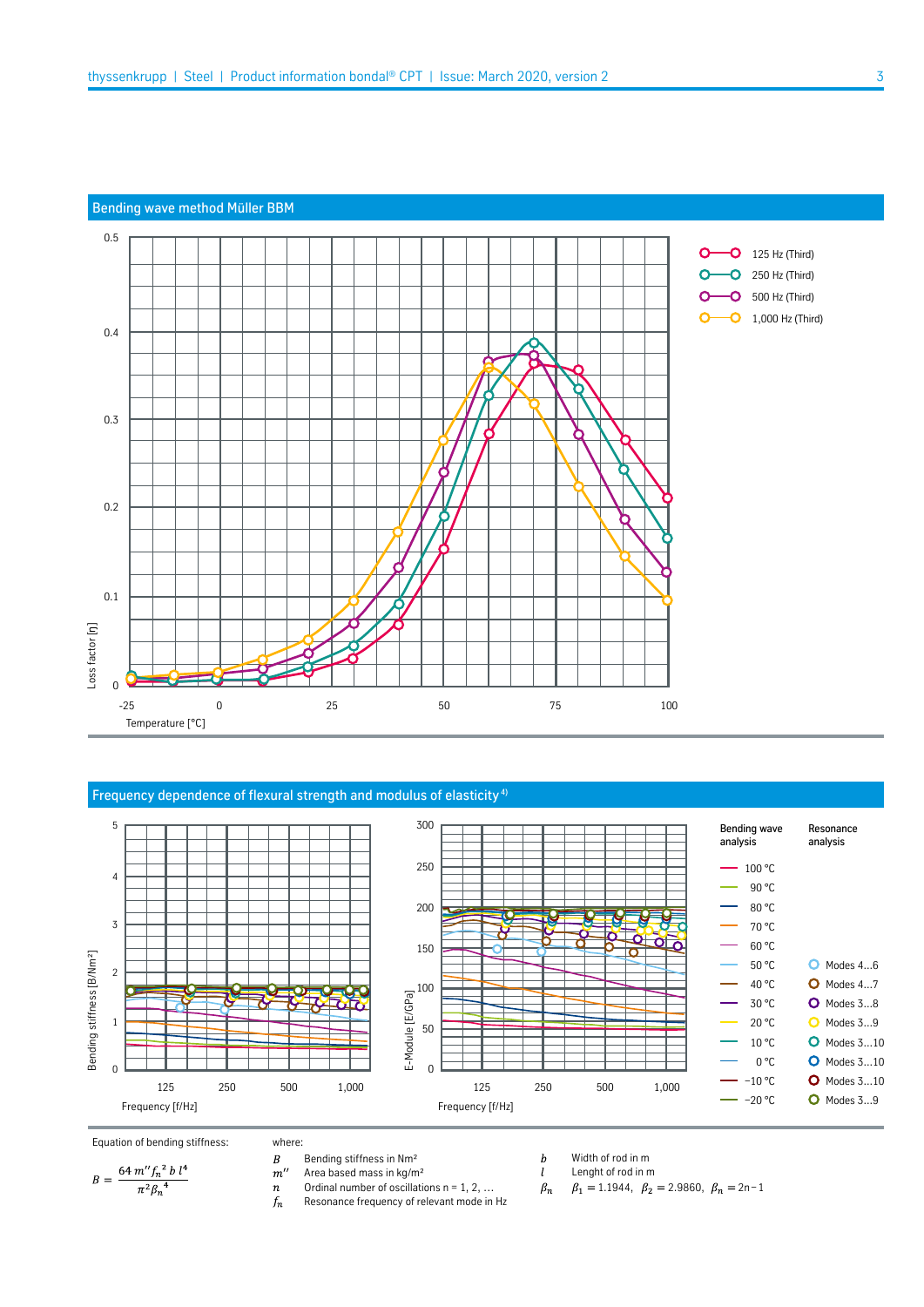#### Bending wave method Müller BBM



#### Frequency dependence of flexural strength and modulus of elasticity<sup>4)</sup>



where:

Equation of bending stiffness: where:<br>  $B = \frac{64 m'' f_n^2 b l^4}{\pi^2 \beta_n^4}$   $B = \frac{64 m'' f_n^2 b l^4}{n^2 \beta_n^4}$   $B = \frac{164 m m''}{n^2 \beta_n^4}$ 

- 
- Area based mass in kg/m²
- Ordinal number of oscillations  $n = 1, 2, ...$  $\boldsymbol{n}$
- $f_n$ Resonance frequency of relevant mode in Hz
- $\boldsymbol{b}$ Width of rod in m  $l$
- Lenght of rod in m
- $\beta_1 = 1.1944$ ,  $\beta_2 = 2.9860$ ,  $\beta_n = 2n-1$  $\beta_n$